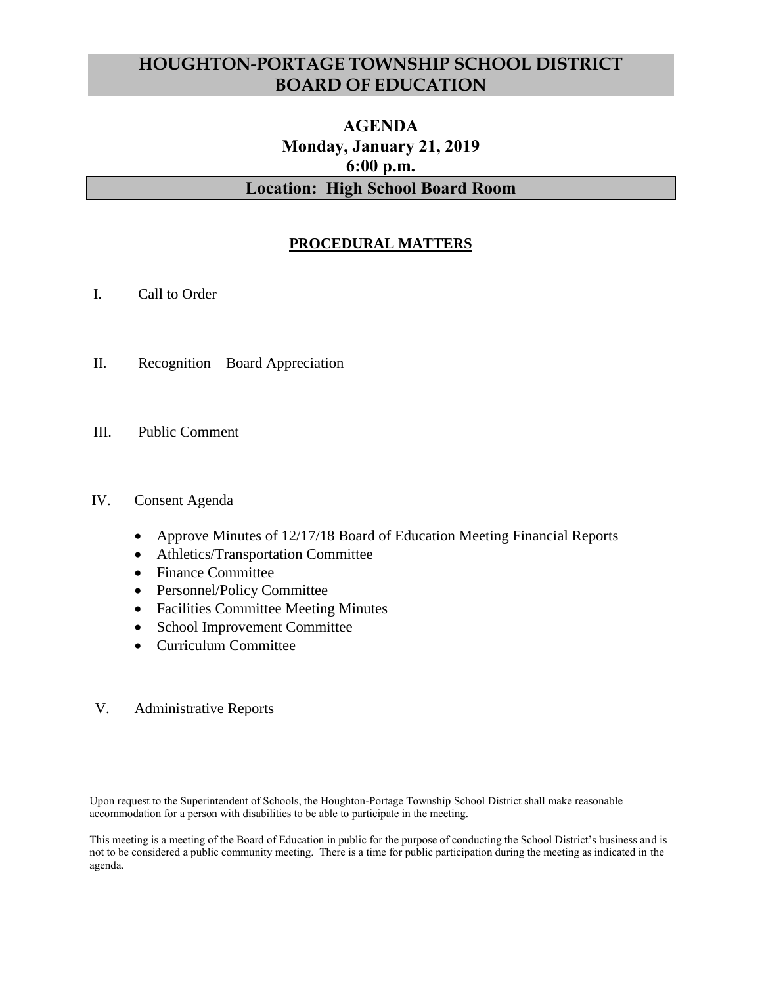# **HOUGHTON-PORTAGE TOWNSHIP SCHOOL DISTRICT BOARD OF EDUCATION**

# **AGENDA Monday, January 21, 2019 6:00 p.m. Location: High School Board Room**

# **PROCEDURAL MATTERS**

- I. Call to Order
- II. Recognition Board Appreciation
- III. Public Comment

#### IV. Consent Agenda

- Approve Minutes of 12/17/18 Board of Education Meeting Financial Reports
- Athletics/Transportation Committee
- Finance Committee
- Personnel/Policy Committee
- Facilities Committee Meeting Minutes
- School Improvement Committee
- Curriculum Committee
- V. Administrative Reports

Upon request to the Superintendent of Schools, the Houghton-Portage Township School District shall make reasonable accommodation for a person with disabilities to be able to participate in the meeting.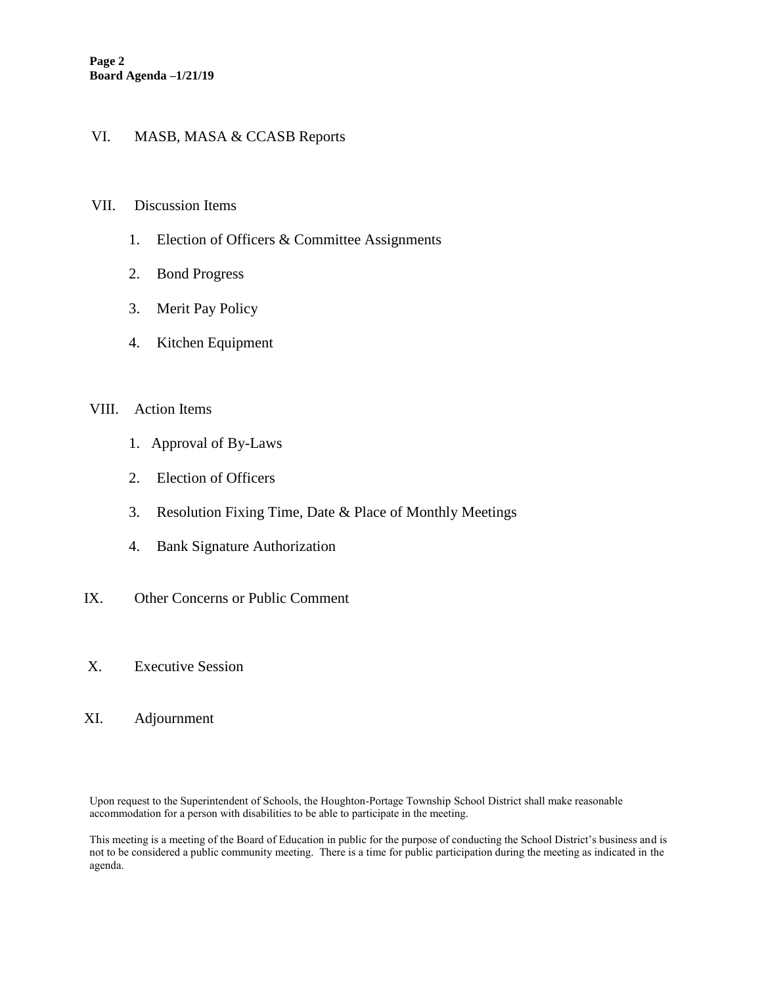# VI. MASB, MASA & CCASB Reports

#### VII. Discussion Items

- 1. Election of Officers & Committee Assignments
- 2. Bond Progress
- 3. Merit Pay Policy
- 4. Kitchen Equipment

#### VIII. Action Items

- 1. Approval of By-Laws
- 2. Election of Officers
- 3. Resolution Fixing Time, Date & Place of Monthly Meetings
- 4. Bank Signature Authorization
- IX. Other Concerns or Public Comment
- X. Executive Session
- XI. Adjournment

Upon request to the Superintendent of Schools, the Houghton-Portage Township School District shall make reasonable accommodation for a person with disabilities to be able to participate in the meeting.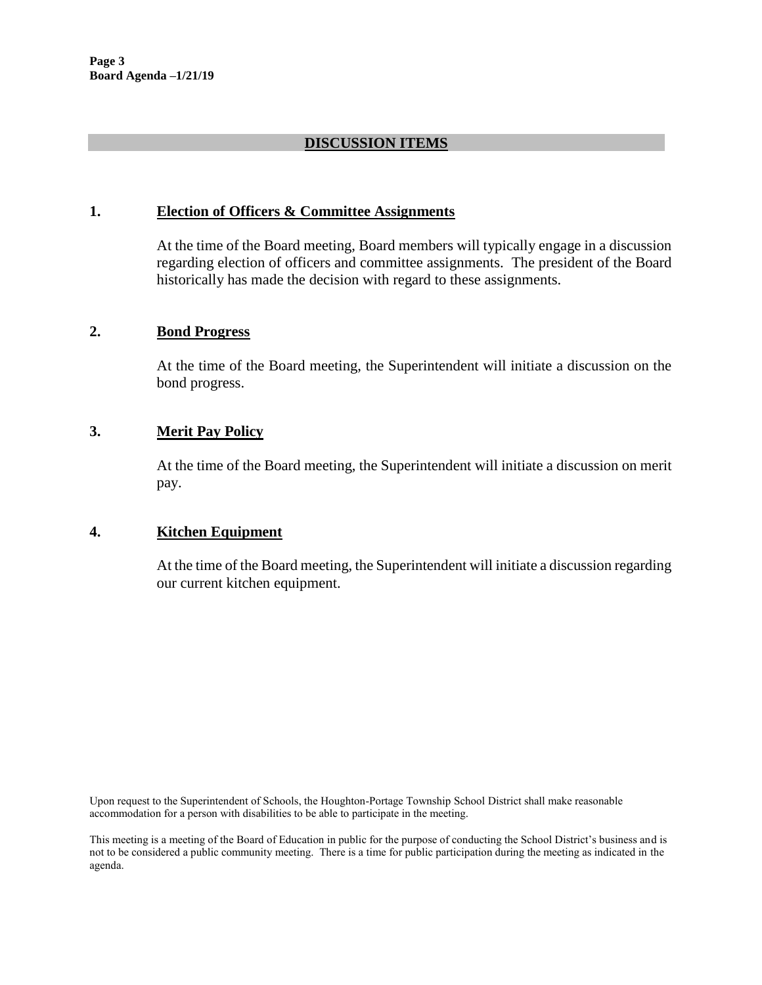### **DISCUSSION ITEMS**

#### **1. Election of Officers & Committee Assignments**

At the time of the Board meeting, Board members will typically engage in a discussion regarding election of officers and committee assignments. The president of the Board historically has made the decision with regard to these assignments.

#### **2. Bond Progress**

At the time of the Board meeting, the Superintendent will initiate a discussion on the bond progress.

# **3. Merit Pay Policy**

At the time of the Board meeting, the Superintendent will initiate a discussion on merit pay.

### **4. Kitchen Equipment**

At the time of the Board meeting, the Superintendent will initiate a discussion regarding our current kitchen equipment.

Upon request to the Superintendent of Schools, the Houghton-Portage Township School District shall make reasonable accommodation for a person with disabilities to be able to participate in the meeting.